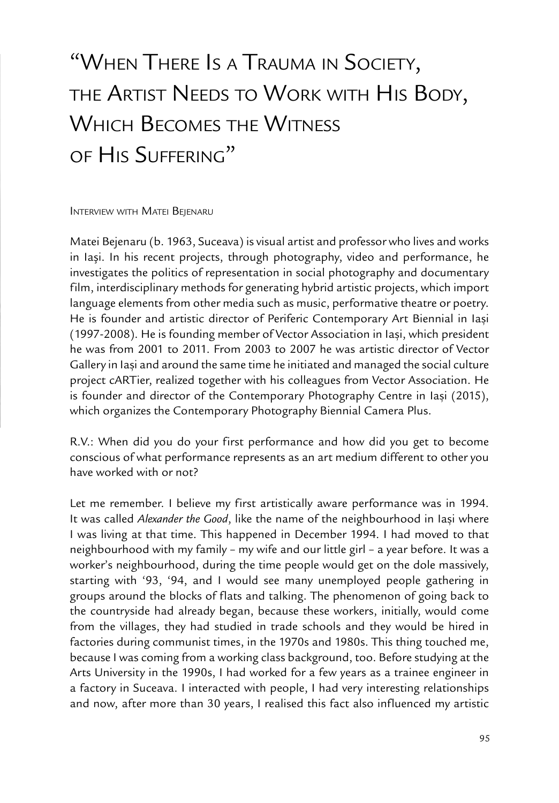# "When There Is <sup>a</sup> Trauma in Society, THE ARTIST NEEDS TO WORK WITH HIS BODY, Which Becomes the Witness of His Suffering"

INTERVIEW WITH MATEI BEJENARU

Matei Bejenaru (b. 1963, Suceava) is visual artist and professor who lives and works in lasi. In his recent projects, through photography, video and performance, he investigates the politics of representation in social photography and documentary film, interdisciplinary methods for generating hybrid artistic projects, which import language elements from other media such as music, performative theatre or poetry. He is founder and artistic director of Periferic Contemporary Art Biennial in Iași (1997-2008). He is founding member of Vector Association in Iaşi, which president he was from 2001 to 2011. From 2003 to 2007 he was artistic director of Vector Gallery in Iasi and around the same time he initiated and managed the social culture project cARTier, realized together with his colleagues from Vector Association. He is founder and director of the Contemporary Photography Centre in Iasi (2015), which organizes the Contemporary Photography Biennial Camera Plus.

R.V.: When did you do your first performance and how did you get to become conscious of what performance represents as an art medium different to other you have worked with or not?

Let me remember. I believe my first artistically aware performance was in 1994. It was called Alexander the Good, like the name of the neighbourhood in Iași where I was living at that time. This happened in December 1994. I had moved to that neighbourhood with my family – my wife and our little girl – a year before. It was a worker's neighbourhood, during the time people would get on the dole massively, starting with '93, '94, and I would see many unemployed people gathering in groups around the blocks of flats and talking. The phenomenon of going back to the countryside had already began, because these workers, initially, would come from the villages, they had studied in trade schools and they would be hired in factories during communist times, in the 1970s and 1980s. This thing touched me, because I was coming from a working class background, too. Before studying at the Arts University in the 1990s, I had worked for a few years as a trainee engineer in a factory in Suceava. I interacted with people, I had very interesting relationships and now, after more than 30 years, I realised this fact also influenced my artistic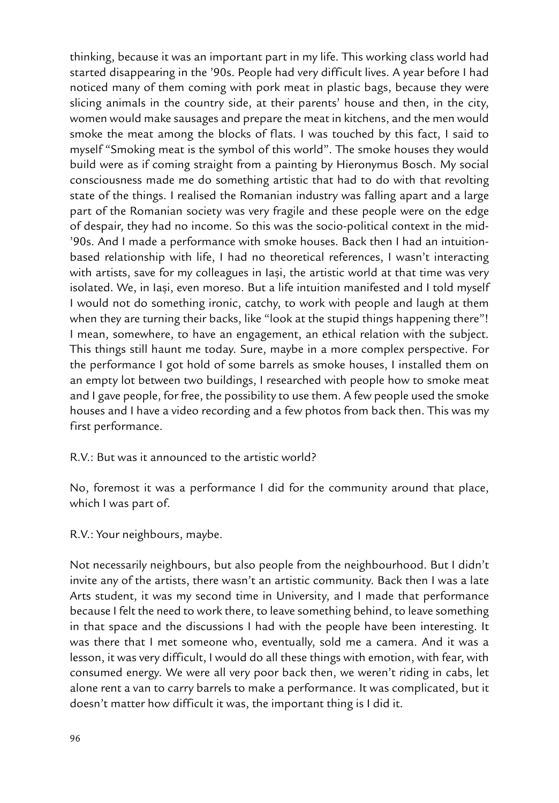thinking, because it was an important part in my life. This working class world had started disappearing in the '90s. People had very difficult lives. A year before I had noticed many of them coming with pork meat in plastic bags, because they were slicing animals in the country side, at their parents' house and then, in the city, women would make sausages and prepare the meat in kitchens, and the men would smoke the meat among the blocks of flats. I was touched by this fact, I said to myself "Smoking meat is the symbol of this world". The smoke houses they would build were as if coming straight from a painting by Hieronymus Bosch. My social consciousness made me do something artistic that had to do with that revolting state of the things. I realised the Romanian industry was falling apart and a large part of the Romanian society was very fragile and these people were on the edge of despair, they had no income. So this was the socio-political context in the mid- '90s. And I made a performance with smoke houses. Back then I had an intuitionbased relationship with life, I had no theoretical references, I wasn't interacting with artists, save for my colleagues in lasi, the artistic world at that time was very isolated. We, in Iași, even moreso. But a life intuition manifested and I told myself I would not do something ironic, catchy, to work with people and laugh at them when they are turning their backs, like "look at the stupid things happening there"! I mean, somewhere, to have an engagement, an ethical relation with the subject. This things still haunt me today. Sure, maybe in a more complex perspective. For the performance I got hold of some barrels as smoke houses, I installed them on an empty lot between two buildings, I researched with people how to smoke meat and I gave people, for free, the possibility to use them. A few people used the smoke houses and I have a video recording and a few photos from back then. This was my first performance.

R.V.: But was it announced to the artistic world?

No, foremost it was a performance I did for the community around that place, which I was part of.

R.V.: Your neighbours, maybe.

Not necessarily neighbours, but also people from the neighbourhood. But I didn't invite any of the artists, there wasn't an artistic community. Back then I was a late Arts student, it was my second time in University, and I made that performance because I felt the need to work there, to leave something behind, to leave something in that space and the discussions I had with the people have been interesting. It was there that I met someone who, eventually, sold me a camera. And it was a lesson, it was very difficult, I would do all these things with emotion, with fear, with consumed energy. We were all very poor back then, we weren't riding in cabs, let alone rent a van to carry barrels to make a performance. It was complicated, but it doesn't matter how difficult it was, the important thing is I did it.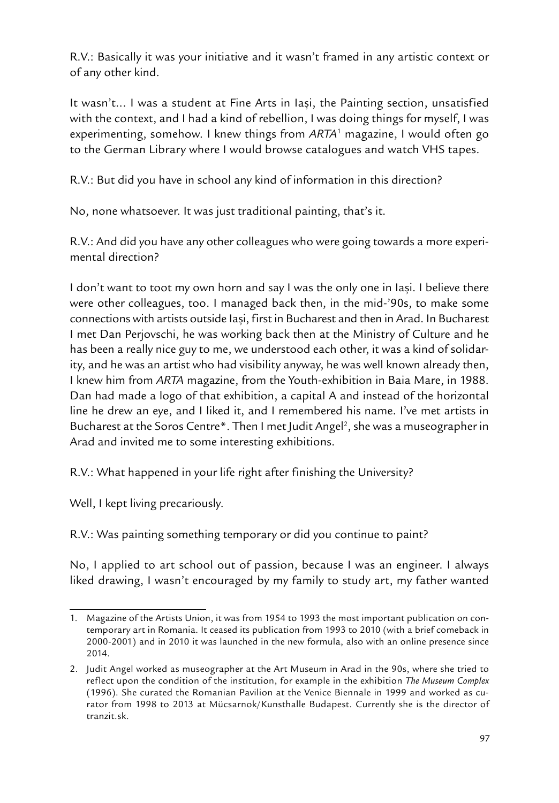R.V.: Basically it was your initiative and it wasn't framed in any artistic context or of any other kind.

It wasn't... I was a student at Fine Arts in Iași, the Painting section, unsatisfied with the context, and I had a kind of rebellion, I was doing things for myself, I was experimenting, somehow. I knew things from *ARTA*<sup>1</sup> magazine, I would often go to the German Library where I would browse catalogues and watch VHS tapes.

R.V.: But did you have in school any kind of information in this direction?

No, none whatsoever. It was just traditional painting, that's it.

R.V.: And did you have any other colleagues who were going towards a more experimental direction?

I don't want to toot my own horn and say I was the only one in Iasi. I believe there were other colleagues, too. I managed back then, in the mid-'90s, to make some connections with artists outside Iasi, first in Bucharest and then in Arad. In Bucharest I met Dan Perjovschi, he was working back then at the Ministry of Culture and he has been a really nice guy to me, we understood each other, it was a kind of solidarity, and he was an artist who had visibility anyway, he was well known already then, I knew him from *ARTA* magazine, from the Youth-exhibition in Baia Mare, in 1988. Dan had made a logo of that exhibition, a capital A and instead of the horizontal line he drew an eye, and I liked it, and I remembered his name. I've met artists in Bucharest at the Soros Centre\*. Then I met Judit Angel<sup>2</sup>, she was a museographer in Arad and invited me to some interesting exhibitions.

R.V.: What happened in your life right after finishing the University?

Well, I kept living precariously.

R.V.: Was painting something temporary or did you continue to paint?

No, I applied to art school out of passion, because I was an engineer. I always liked drawing, I wasn't encouraged by my family to study art, my father wanted

<sup>1.</sup> Magazine of the Artists Union, it was from 1954 to 1993 the most important publication on contemporary art in Romania. It ceased its publication from 1993 to 2010 (with a brief comeback in 2000-2001) and in 2010 it was launched in the new formula, also with an online presence since 2014.

<sup>2.</sup> Judit Angel worked as museographer at the Art Museum in Arad in the 90s, where she tried to reflect upon the condition of the institution, for example in the exhibition *The Museum Complex* (1996). She curated the Romanian Pavilion at the Venice Biennale in 1999 and worked as curator from 1998 to 2013 at Mücsarnok/Kunsthalle Budapest. Currently she is the director of tranzit.sk.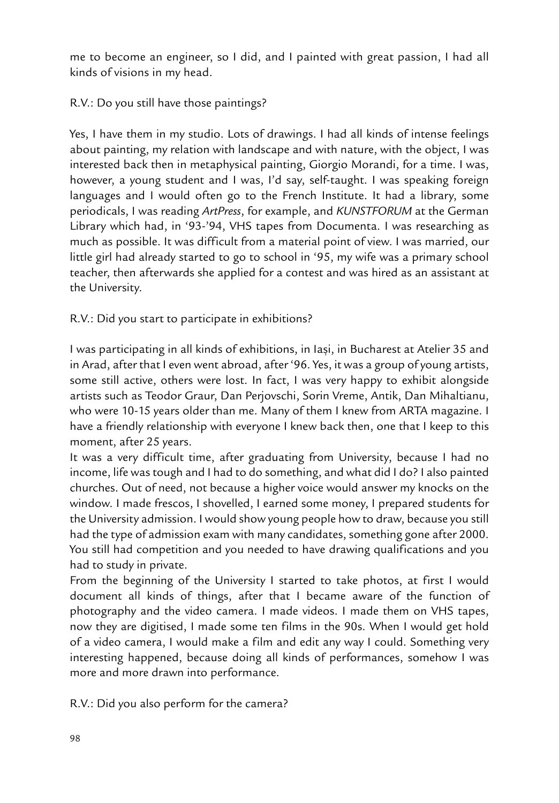me to become an engineer, so I did, and I painted with great passion, I had all kinds of visions in my head.

## R.V.: Do you still have those paintings?

Yes, I have them in my studio. Lots of drawings. I had all kinds of intense feelings about painting, my relation with landscape and with nature, with the object, I was interested back then in metaphysical painting, Giorgio Morandi, for a time. I was, however, a young student and I was, I'd say, self-taught. I was speaking foreign languages and I would often go to the French Institute. It had a library, some periodicals, I was reading *ArtPress*, for example, and *KUNSTFORUM* at the German Library which had, in '93-'94, VHS tapes from Documenta. I was researching as much as possible. It was difficult from a material point of view. I was married, our little girl had already started to go to school in '95, my wife was a primary school teacher, then afterwards she applied for a contest and was hired as an assistant at the University.

R.V.: Did you start to participate in exhibitions?

I was participating in all kinds of exhibitions, in Iasi, in Bucharest at Atelier 35 and in Arad, after that I even went abroad, after '96. Yes, it was a group of young artists, some still active, others were lost. In fact, I was very happy to exhibit alongside artists such as Teodor Graur, Dan Perjovschi, Sorin Vreme, Antik, Dan Mihaltianu, who were 10-15 years older than me. Many of them I knew from ARTA magazine. I have a friendly relationship with everyone I knew back then, one that I keep to this moment, after 25 years.

It was a very difficult time, after graduating from University, because I had no income, life was tough and I had to do something, and what did I do? I also painted churches. Out of need, not because a higher voice would answer my knocks on the window. I made frescos, I shovelled, I earned some money, I prepared students for the University admission. I would show young people how to draw, because you still had the type of admission exam with many candidates, something gone after 2000. You still had competition and you needed to have drawing qualifications and you had to study in private.

From the beginning of the University I started to take photos, at first I would document all kinds of things, after that I became aware of the function of photography and the video camera. I made videos. I made them on VHS tapes, now they are digitised, I made some ten films in the 90s. When I would get hold of a video camera, I would make a film and edit any way I could. Something very interesting happened, because doing all kinds of performances, somehow I was more and more drawn into performance.

R.V.: Did you also perform for the camera?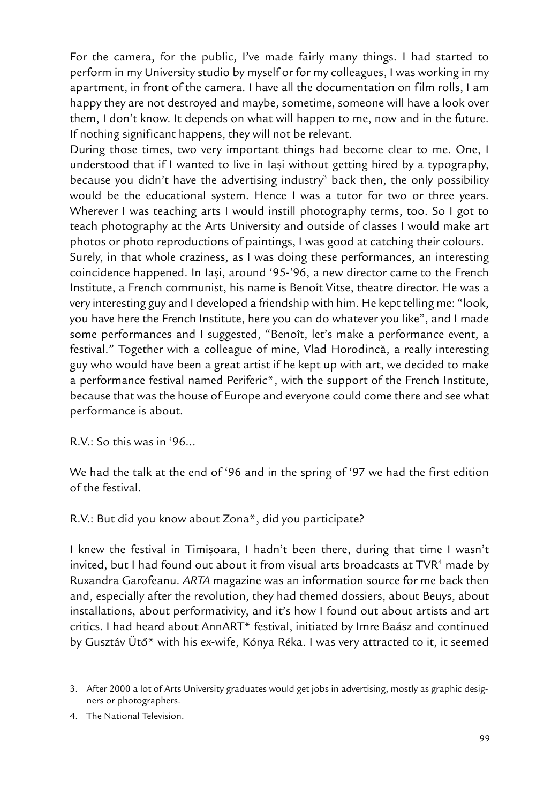For the camera, for the public, I've made fairly many things. I had started to perform in my University studio by myself or for my colleagues, I was working in my apartment, in front of the camera. I have all the documentation on film rolls, I am happy they are not destroyed and maybe, sometime, someone will have a look over them, I don't know. It depends on what will happen to me, now and in the future. If nothing significant happens, they will not be relevant.

During those times, two very important things had become clear to me. One, I understood that if I wanted to live in Iasi without getting hired by a typography, because you didn't have the advertising industry<sup>3</sup> back then, the only possibility would be the educational system. Hence I was a tutor for two or three years. Wherever I was teaching arts I would instill photography terms, too. So I got to teach photography at the Arts University and outside of classes I would make art photos or photo reproductions of paintings, I was good at catching their colours. Surely, in that whole craziness, as I was doing these performances, an interesting coincidence happened. In Iași, around '95-'96, a new director came to the French Institute, a French communist, his name is Benoît Vitse, theatre director. He was a very interesting guy and I developed a friendship with him. He kept telling me: "look, you have here the French Institute, here you can do whatever you like", and I made some performances and I suggested, "Benoît, let's make a performance event, a festival." Together with a colleague of mine, Vlad Horodincã, a really interesting guy who would have been a great artist if he kept up with art, we decided to make a performance festival named Periferic\*, with the support of the French Institute, because that was the house of Europe and everyone could come there and see what performance is about.

R.V.: So this was in '96...

We had the talk at the end of '96 and in the spring of '97 we had the first edition of the festival.

R.V.: But did you know about Zona\*, did you participate?

I knew the festival in Timișoara, I hadn't been there, during that time I wasn't invited, but I had found out about it from visual arts broadcasts at  $\mathsf{TVR}\vphantom{^{G}}$  made by Ruxandra Garofeanu. *ARTA* magazine was an information source for me back then and, especially after the revolution, they had themed dossiers, about Beuys, about installations, about performativity, and it's how I found out about artists and art critics. I had heard about AnnART\* festival, initiated by Imre Baász and continued by Gusztáv Ütõ\* with his ex-wife, Kónya Réka. I was very attracted to it, it seemed

<sup>3.</sup> After 2000 a lot of Arts University graduates would get jobs in advertising, mostly as graphic designers or photographers.

<sup>4.</sup> The National Television.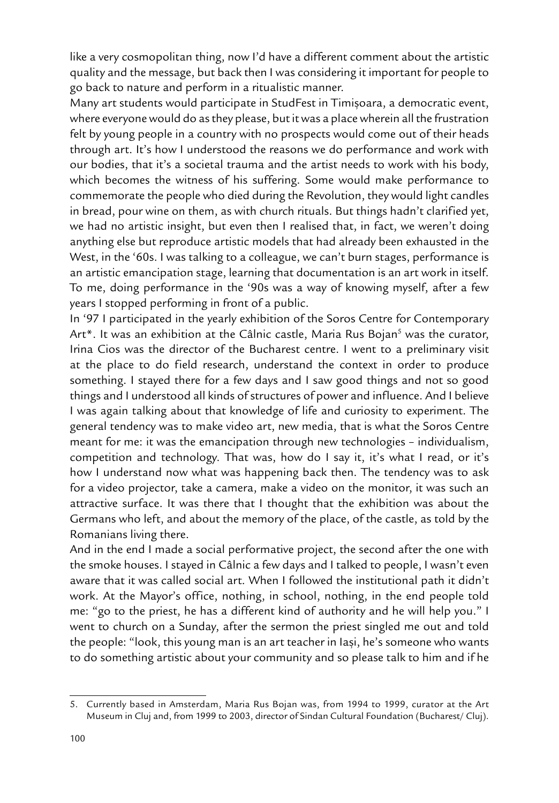like a very cosmopolitan thing, now I'd have a different comment about the artistic quality and the message, but back then I was considering it important for people to go back to nature and perform in a ritualistic manner.

Many art students would participate in StudFest in Timișoara, a democratic event, where everyone would do as they please, but it was a place wherein all the frustration felt by young people in a country with no prospects would come out of their heads through art. It's how I understood the reasons we do performance and work with our bodies, that it's a societal trauma and the artist needs to work with his body, which becomes the witness of his suffering. Some would make performance to commemorate the people who died during the Revolution, they would light candles in bread, pour wine on them, as with church rituals. But things hadn't clarified yet, we had no artistic insight, but even then I realised that, in fact, we weren't doing anything else but reproduce artistic models that had already been exhausted in the West, in the '60s. I was talking to a colleague, we can't burn stages, performance is an artistic emancipation stage, learning that documentation is an art work in itself. To me, doing performance in the '90s was a way of knowing myself, after a few years I stopped performing in front of a public.

In '97 I participated in the yearly exhibition of the Soros Centre for Contemporary Art\*. It was an exhibition at the Câlnic castle, Maria Rus Bojan<sup>s</sup> was the curator, Irina Cios was the director of the Bucharest centre. I went to a preliminary visit at the place to do field research, understand the context in order to produce something. I stayed there for a few days and I saw good things and not so good things and I understood all kinds of structures of power and influence. And I believe I was again talking about that knowledge of life and curiosity to experiment. The general tendency was to make video art, new media, that is what the Soros Centre meant for me: it was the emancipation through new technologies – individualism, competition and technology. That was, how do I say it, it's what I read, or it's how I understand now what was happening back then. The tendency was to ask for a video projector, take a camera, make a video on the monitor, it was such an attractive surface. It was there that I thought that the exhibition was about the Germans who left, and about the memory of the place, of the castle, as told by the Romanians living there.

And in the end I made a social performative project, the second after the one with the smoke houses. I stayed in Câlnic a few days and I talked to people, I wasn't even aware that it was called social art. When I followed the institutional path it didn't work. At the Mayor's office, nothing, in school, nothing, in the end people told me: "go to the priest, he has a different kind of authority and he will help you." I went to church on a Sunday, after the sermon the priest singled me out and told the people: "look, this young man is an art teacher in lasi, he's someone who wants to do something artistic about your community and so please talk to him and if he

<sup>5.</sup> Currently based in Amsterdam, Maria Rus Bojan was, from 1994 to 1999, curator at the Art Museum in Cluj and, from 1999 to 2003, director of Sindan Cultural Foundation (Bucharest/ Cluj).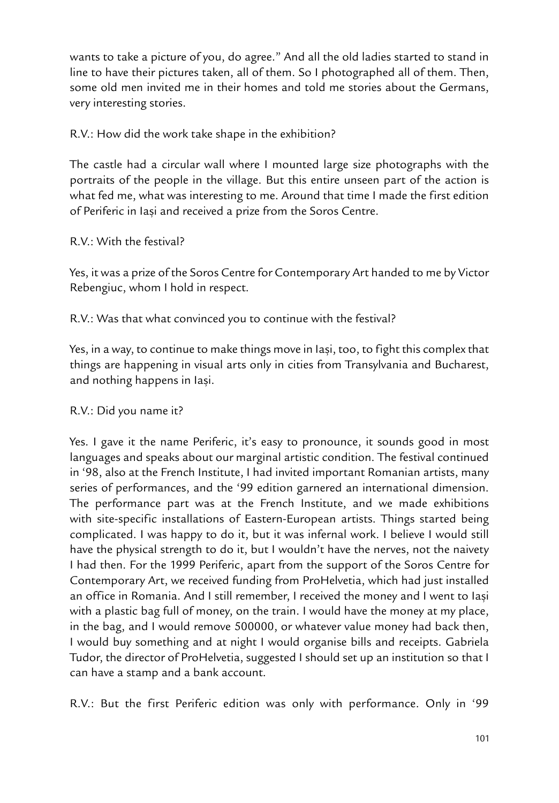wants to take a picture of you, do agree." And all the old ladies started to stand in line to have their pictures taken, all of them. So I photographed all of them. Then, some old men invited me in their homes and told me stories about the Germans, very interesting stories.

### R.V.: How did the work take shape in the exhibition?

The castle had a circular wall where I mounted large size photographs with the portraits of the people in the village. But this entire unseen part of the action is what fed me, what was interesting to me. Around that time I made the first edition of Periferic in Iași and received a prize from the Soros Centre.

### $R.V.$  With the festival?

Yes, it was a prize of the Soros Centre for Contemporary Art handed to me by Victor Rebengiuc, whom I hold in respect.

R.V.: Was that what convinced you to continue with the festival?

Yes, in a way, to continue to make things move in lasi, too, to fight this complex that things are happening in visual arts only in cities from Transylvania and Bucharest, and nothing happens in lasi.

#### R.V.: Did you name it?

Yes. I gave it the name Periferic, it's easy to pronounce, it sounds good in most languages and speaks about our marginal artistic condition. The festival continued in '98, also at the French Institute, I had invited important Romanian artists, many series of performances, and the '99 edition garnered an international dimension. The performance part was at the French Institute, and we made exhibitions with site-specific installations of Eastern-European artists. Things started being complicated. I was happy to do it, but it was infernal work. I believe I would still have the physical strength to do it, but I wouldn't have the nerves, not the naivety I had then. For the 1999 Periferic, apart from the support of the Soros Centre for Contemporary Art, we received funding from ProHelvetia, which had just installed an office in Romania. And I still remember, I received the money and I went to Iasi with a plastic bag full of money, on the train. I would have the money at my place, in the bag, and I would remove 500000, or whatever value money had back then, I would buy something and at night I would organise bills and receipts. Gabriela Tudor, the director of ProHelvetia, suggested I should set up an institution so that I can have a stamp and a bank account.

R.V.: But the first Periferic edition was only with performance. Only in '99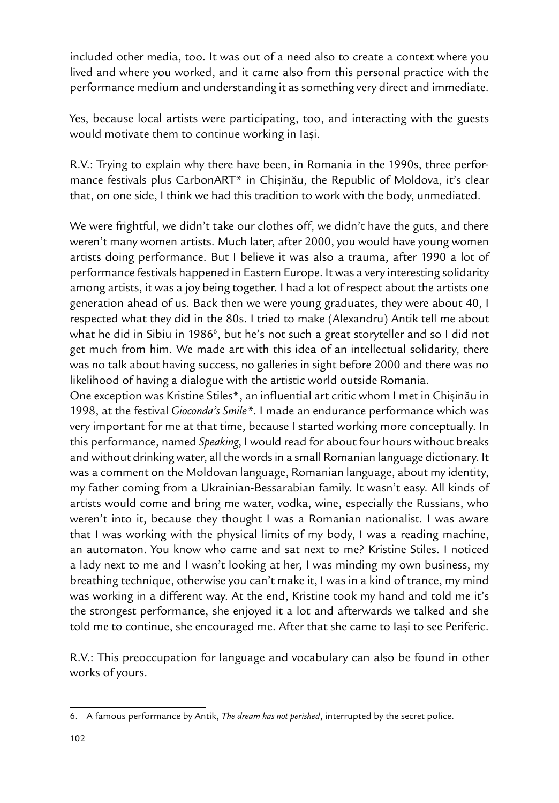included other media, too. It was out of a need also to create a context where you lived and where you worked, and it came also from this personal practice with the performance medium and understanding it as something very direct and immediate.

Yes, because local artists were participating, too, and interacting with the guests would motivate them to continue working in Iași.

R.V.: Trying to explain why there have been, in Romania in the 1990s, three performance festivals plus CarbonART\* in Chișinău, the Republic of Moldova, it's clear that, on one side, I think we had this tradition to work with the body, unmediated.

We were frightful, we didn't take our clothes off, we didn't have the guts, and there weren't many women artists. Much later, after 2000, you would have young women artists doing performance. But I believe it was also a trauma, after 1990 a lot of performance festivals happened in Eastern Europe. It was a very interesting solidarity among artists, it was a joy being together. I had a lot of respect about the artists one generation ahead of us. Back then we were young graduates, they were about 40, I respected what they did in the 80s. I tried to make (Alexandru) Antik tell me about what he did in Sibiu in 1986<sup>6</sup>, but he's not such a great storyteller and so I did not get much from him. We made art with this idea of an intellectual solidarity, there was no talk about having success, no galleries in sight before 2000 and there was no likelihood of having a dialogue with the artistic world outside Romania.

One exception was Kristine Stiles\*, an influential art critic whom I met in Chișinău in 1998, at the festival *Gioconda's Smile\**. I made an endurance performance which was very important for me at that time, because I started working more conceptually. In this performance, named *Speaking*, I would read for about four hours without breaks and without drinking water, all the words in a small Romanian language dictionary. It was a comment on the Moldovan language, Romanian language, about my identity, my father coming from a Ukrainian-Bessarabian family. It wasn't easy. All kinds of artists would come and bring me water, vodka, wine, especially the Russians, who weren't into it, because they thought I was a Romanian nationalist. I was aware that I was working with the physical limits of my body, I was a reading machine, an automaton. You know who came and sat next to me? Kristine Stiles. I noticed a lady next to me and I wasn't looking at her, I was minding my own business, my breathing technique, otherwise you can't make it, I was in a kind of trance, my mind was working in a different way. At the end, Kristine took my hand and told me it's the strongest performance, she enjoyed it a lot and afterwards we talked and she told me to continue, she encouraged me. After that she came to lasi to see Periferic.

R.V.: This preoccupation for language and vocabulary can also be found in other works of yours.

<sup>6.</sup> A famous performance by Antik, *The dream has not perished*, interrupted by the secret police.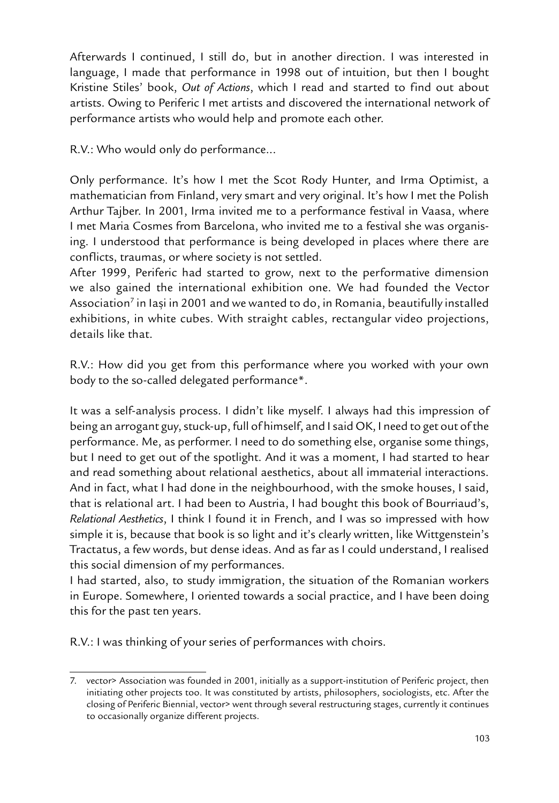Afterwards I continued, I still do, but in another direction. I was interested in language, I made that performance in 1998 out of intuition, but then I bought Kristine Stiles' book, *Out of Actions*, which I read and started to find out about artists. Owing to Periferic I met artists and discovered the international network of performance artists who would help and promote each other.

R.V.: Who would only do performance...

Only performance. It's how I met the Scot Rody Hunter, and Irma Optimist, a mathematician from Finland, very smart and very original. It's how I met the Polish Arthur Tajber. In 2001, Irma invited me to a performance festival in Vaasa, where I met Maria Cosmes from Barcelona, who invited me to a festival she was organising. I understood that performance is being developed in places where there are conflicts, traumas, or where society is not settled.

After 1999, Periferic had started to grow, next to the performative dimension we also gained the international exhibition one. We had founded the Vector Association<sup>7</sup> in Iași in 2001 and we wanted to do, in Romania, beautifully installed exhibitions, in white cubes. With straight cables, rectangular video projections, details like that.

R.V.: How did you get from this performance where you worked with your own body to the so-called delegated performance\*.

It was a self-analysis process. I didn't like myself. I always had this impression of being an arrogant guy, stuck-up, full of himself, and I said OK, I need to get out of the performance. Me, as performer. I need to do something else, organise some things, but I need to get out of the spotlight. And it was a moment, I had started to hear and read something about relational aesthetics, about all immaterial interactions. And in fact, what I had done in the neighbourhood, with the smoke houses, I said, that is relational art. I had been to Austria, I had bought this book of Bourriaud's, *Relational Aesthetics*, I think I found it in French, and I was so impressed with how simple it is, because that book is so light and it's clearly written, like Wittgenstein's Tractatus, a few words, but dense ideas. And as far as I could understand, I realised this social dimension of my performances.

I had started, also, to study immigration, the situation of the Romanian workers in Europe. Somewhere, I oriented towards a social practice, and I have been doing this for the past ten years.

R.V.: I was thinking of your series of performances with choirs.

<sup>7.</sup> vector> Association was founded in 2001, initially as a support-institution of Periferic project, then initiating other projects too. It was constituted by artists, philosophers, sociologists, etc. After the closing of Periferic Biennial, vector> went through several restructuring stages, currently it continues to occasionally organize different projects.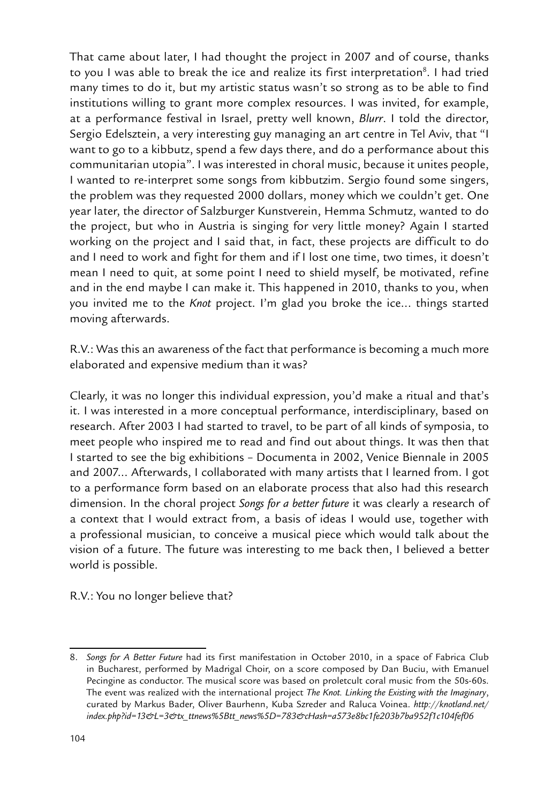That came about later, I had thought the project in 2007 and of course, thanks to you I was able to break the ice and realize its first interpretation<sup>8</sup>. I had tried many times to do it, but my artistic status wasn't so strong as to be able to find institutions willing to grant more complex resources. I was invited, for example, at a performance festival in Israel, pretty well known, *Blurr*. I told the director, Sergio Edelsztein, a very interesting guy managing an art centre in Tel Aviv, that "I want to go to a kibbutz, spend a few days there, and do a performance about this communitarian utopia". I was interested in choral music, because it unites people, I wanted to re-interpret some songs from kibbutzim. Sergio found some singers, the problem was they requested 2000 dollars, money which we couldn't get. One year later, the director of Salzburger Kunstverein, Hemma Schmutz, wanted to do the project, but who in Austria is singing for very little money? Again I started working on the project and I said that, in fact, these projects are difficult to do and I need to work and fight for them and if I lost one time, two times, it doesn't mean I need to quit, at some point I need to shield myself, be motivated, refine and in the end maybe I can make it. This happened in 2010, thanks to you, when you invited me to the *Knot* project. I'm glad you broke the ice... things started moving afterwards.

R.V.: Was this an awareness of the fact that performance is becoming a much more elaborated and expensive medium than it was?

Clearly, it was no longer this individual expression, you'd make a ritual and that's it. I was interested in a more conceptual performance, interdisciplinary, based on research. After 2003 I had started to travel, to be part of all kinds of symposia, to meet people who inspired me to read and find out about things. It was then that I started to see the big exhibitions – Documenta in 2002, Venice Biennale in 2005 and 2007... Afterwards, I collaborated with many artists that I learned from. I got to a performance form based on an elaborate process that also had this research dimension. In the choral project *Songs for a better future* it was clearly a research of a context that I would extract from, a basis of ideas I would use, together with a professional musician, to conceive a musical piece which would talk about the vision of a future. The future was interesting to me back then, I believed a better world is possible.

R.V.: You no longer believe that?

<sup>8.</sup> *Songs for A Better Future* had its first manifestation in October 2010, in a space of Fabrica Club in Bucharest, performed by Madrigal Choir, on a score composed by Dan Buciu, with Emanuel Pecingine as conductor. The musical score was based on proletcult coral music from the 50s-60s. The event was realized with the international project *The Knot. Linking the Existing with the Imaginary*, curated by Markus Bader, Oliver Baurhenn, Kuba Szreder and Raluca Voinea. *http://knotland.net/ index.php?id=13&L=3&tx\_ttnews%5Btt\_news%5D=783&cHash=a573e8bc1fe203b7ba952f1c104fef06*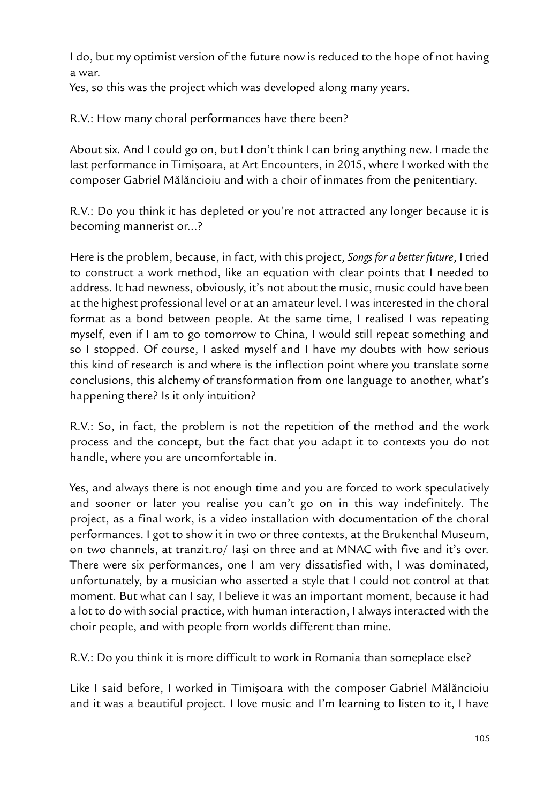I do, but my optimist version of the future now is reduced to the hope of not having a war.

Yes, so this was the project which was developed along many years.

R.V.: How many choral performances have there been?

About six. And I could go on, but I don't think I can bring anything new. I made the last performance in Timisoara, at Art Encounters, in 2015, where I worked with the composer Gabriel Mãlãncioiu and with a choir of inmates from the penitentiary.

R.V.: Do you think it has depleted or you're not attracted any longer because it is becoming mannerist or...?

Here is the problem, because, in fact, with this project, *Songs for a better future*, I tried to construct a work method, like an equation with clear points that I needed to address. It had newness, obviously, it's not about the music, music could have been at the highest professional level or at an amateur level. I was interested in the choral format as a bond between people. At the same time, I realised I was repeating myself, even if I am to go tomorrow to China, I would still repeat something and so I stopped. Of course, I asked myself and I have my doubts with how serious this kind of research is and where is the inflection point where you translate some conclusions, this alchemy of transformation from one language to another, what's happening there? Is it only intuition?

R.V.: So, in fact, the problem is not the repetition of the method and the work process and the concept, but the fact that you adapt it to contexts you do not handle, where you are uncomfortable in.

Yes, and always there is not enough time and you are forced to work speculatively and sooner or later you realise you can't go on in this way indefinitely. The project, as a final work, is a video installation with documentation of the choral performances. I got to show it in two or three contexts, at the Brukenthal Museum, on two channels, at tranzit.ro/ lasi on three and at MNAC with five and it's over. There were six performances, one I am very dissatisfied with, I was dominated, unfortunately, by a musician who asserted a style that I could not control at that moment. But what can I say, I believe it was an important moment, because it had a lot to do with social practice, with human interaction, I always interacted with the choir people, and with people from worlds different than mine.

R.V.: Do you think it is more difficult to work in Romania than someplace else?

Like I said before, I worked in Timișoara with the composer Gabriel Mălăncioiu and it was a beautiful project. I love music and I'm learning to listen to it, I have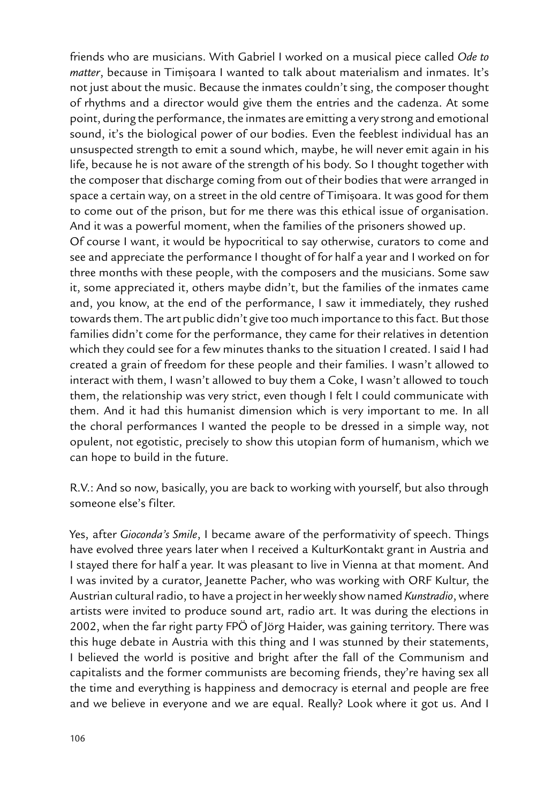friends who are musicians. With Gabriel I worked on a musical piece called *Ode to matter*, because in Timișoara I wanted to talk about materialism and inmates. It's not just about the music. Because the inmates couldn't sing, the composer thought of rhythms and a director would give them the entries and the cadenza. At some point, during the performance, the inmates are emitting a very strong and emotional sound, it's the biological power of our bodies. Even the feeblest individual has an unsuspected strength to emit a sound which, maybe, he will never emit again in his life, because he is not aware of the strength of his body. So I thought together with the composer that discharge coming from out of their bodies that were arranged in space a certain way, on a street in the old centre of Timișoara. It was good for them to come out of the prison, but for me there was this ethical issue of organisation. And it was a powerful moment, when the families of the prisoners showed up.

Of course I want, it would be hypocritical to say otherwise, curators to come and see and appreciate the performance I thought of for half a year and I worked on for three months with these people, with the composers and the musicians. Some saw it, some appreciated it, others maybe didn't, but the families of the inmates came and, you know, at the end of the performance, I saw it immediately, they rushed towards them. The art public didn't give too much importance to this fact. But those families didn't come for the performance, they came for their relatives in detention which they could see for a few minutes thanks to the situation I created. I said I had created a grain of freedom for these people and their families. I wasn't allowed to interact with them, I wasn't allowed to buy them a Coke, I wasn't allowed to touch them, the relationship was very strict, even though I felt I could communicate with them. And it had this humanist dimension which is very important to me. In all the choral performances I wanted the people to be dressed in a simple way, not opulent, not egotistic, precisely to show this utopian form of humanism, which we can hope to build in the future.

R.V.: And so now, basically, you are back to working with yourself, but also through someone else's filter.

Yes, after *Gioconda's Smile*, I became aware of the performativity of speech. Things have evolved three years later when I received a KulturKontakt grant in Austria and I stayed there for half a year. It was pleasant to live in Vienna at that moment. And I was invited by a curator, Jeanette Pacher, who was working with ORF Kultur, the Austrian cultural radio, to have a project in her weekly show named *Kunstradio*, where artists were invited to produce sound art, radio art. It was during the elections in 2002, when the far right party FPÖ of Jörg Haider, was gaining territory. There was this huge debate in Austria with this thing and I was stunned by their statements, I believed the world is positive and bright after the fall of the Communism and capitalists and the former communists are becoming friends, they're having sex all the time and everything is happiness and democracy is eternal and people are free and we believe in everyone and we are equal. Really? Look where it got us. And I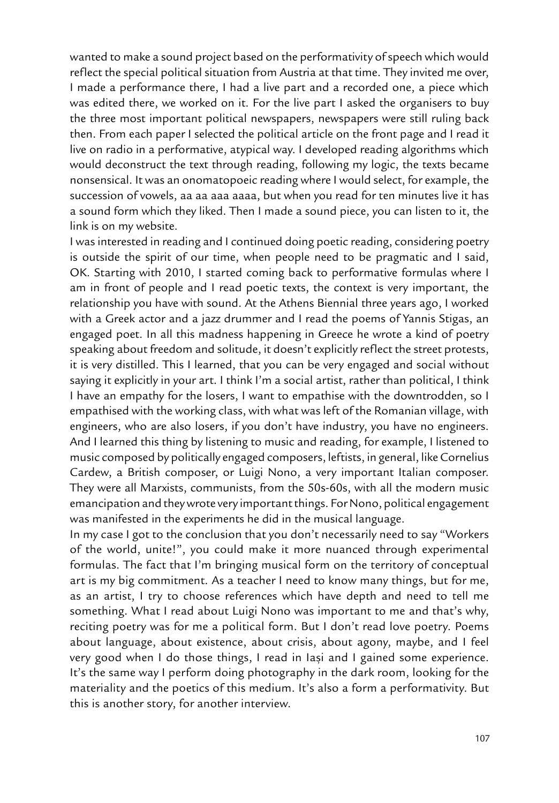wanted to make a sound project based on the performativity of speech which would reflect the special political situation from Austria at that time. They invited me over, I made a performance there, I had a live part and a recorded one, a piece which was edited there, we worked on it. For the live part I asked the organisers to buy the three most important political newspapers, newspapers were still ruling back then. From each paper I selected the political article on the front page and I read it live on radio in a performative, atypical way. I developed reading algorithms which would deconstruct the text through reading, following my logic, the texts became nonsensical. It was an onomatopoeic reading where I would select, for example, the succession of vowels, aa aa aaa aaaa, but when you read for ten minutes live it has a sound form which they liked. Then I made a sound piece, you can listen to it, the link is on my website.

I was interested in reading and I continued doing poetic reading, considering poetry is outside the spirit of our time, when people need to be pragmatic and I said, OK. Starting with 2010, I started coming back to performative formulas where I am in front of people and I read poetic texts, the context is very important, the relationship you have with sound. At the Athens Biennial three years ago, I worked with a Greek actor and a jazz drummer and I read the poems of Yannis Stigas, an engaged poet. In all this madness happening in Greece he wrote a kind of poetry speaking about freedom and solitude, it doesn't explicitly reflect the street protests, it is very distilled. This I learned, that you can be very engaged and social without saying it explicitly in your art. I think I'm a social artist, rather than political, I think I have an empathy for the losers, I want to empathise with the downtrodden, so I empathised with the working class, with what was left of the Romanian village, with engineers, who are also losers, if you don't have industry, you have no engineers. And I learned this thing by listening to music and reading, for example, I listened to music composed by politically engaged composers, leftists, in general, like Cornelius Cardew, a British composer, or Luigi Nono, a very important Italian composer. They were all Marxists, communists, from the 50s-60s, with all the modern music emancipation and they wrote very important things. For Nono, political engagement was manifested in the experiments he did in the musical language.

In my case I got to the conclusion that you don't necessarily need to say "Workers of the world, unite!", you could make it more nuanced through experimental formulas. The fact that I'm bringing musical form on the territory of conceptual art is my big commitment. As a teacher I need to know many things, but for me, as an artist, I try to choose references which have depth and need to tell me something. What I read about Luigi Nono was important to me and that's why, reciting poetry was for me a political form. But I don't read love poetry. Poems about language, about existence, about crisis, about agony, maybe, and I feel very good when I do those things, I read in Iași and I gained some experience. It's the same way I perform doing photography in the dark room, looking for the materiality and the poetics of this medium. It's also a form a performativity. But this is another story, for another interview.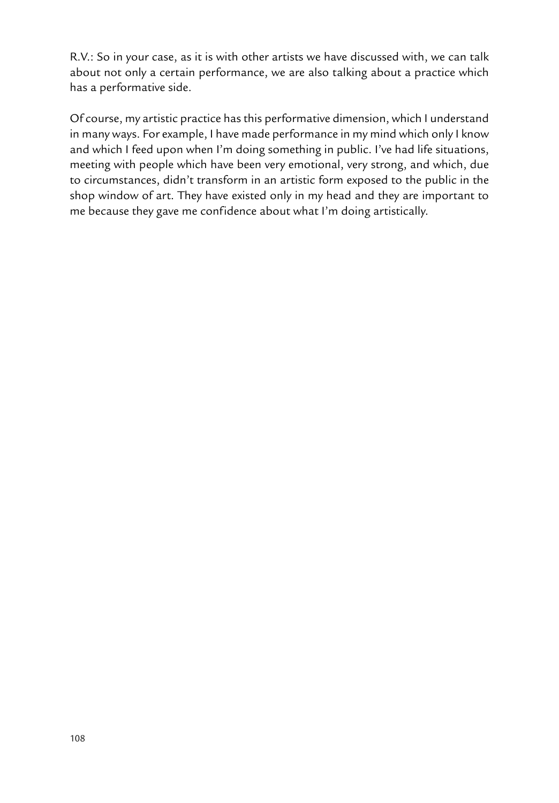R.V.: So in your case, as it is with other artists we have discussed with, we can talk about not only a certain performance, we are also talking about a practice which has a performative side.

Of course, my artistic practice has this performative dimension, which I understand in many ways. For example, I have made performance in my mind which only I know and which I feed upon when I'm doing something in public. I've had life situations, meeting with people which have been very emotional, very strong, and which, due to circumstances, didn't transform in an artistic form exposed to the public in the shop window of art. They have existed only in my head and they are important to me because they gave me confidence about what I'm doing artistically.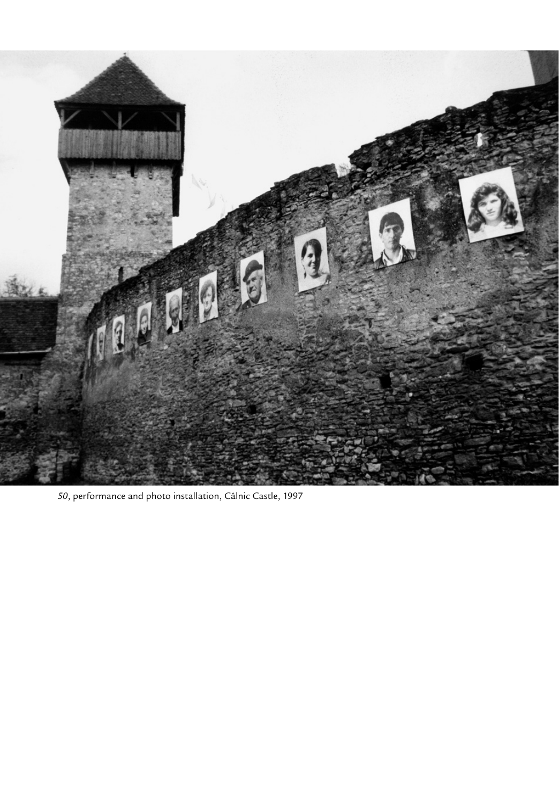

, performance and photo installation, Câlnic Castle, 1997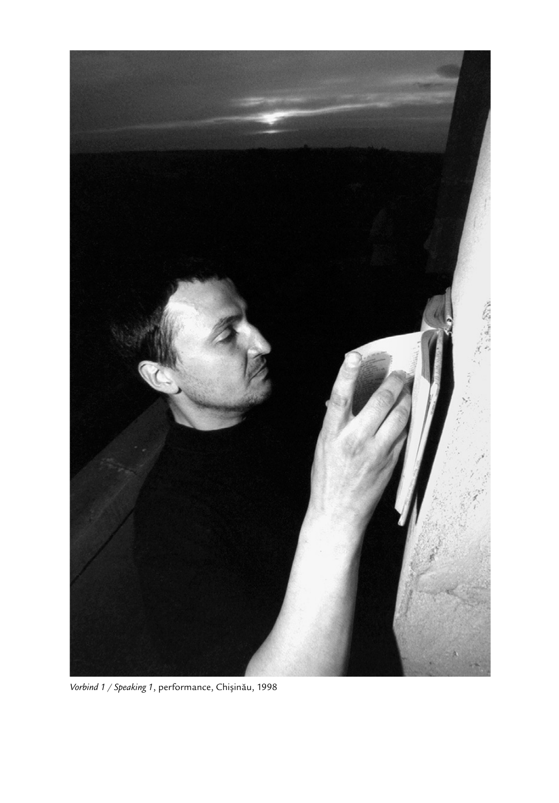

*Vorbind 1 / Speaking 1*, performance, Chișinău, 1998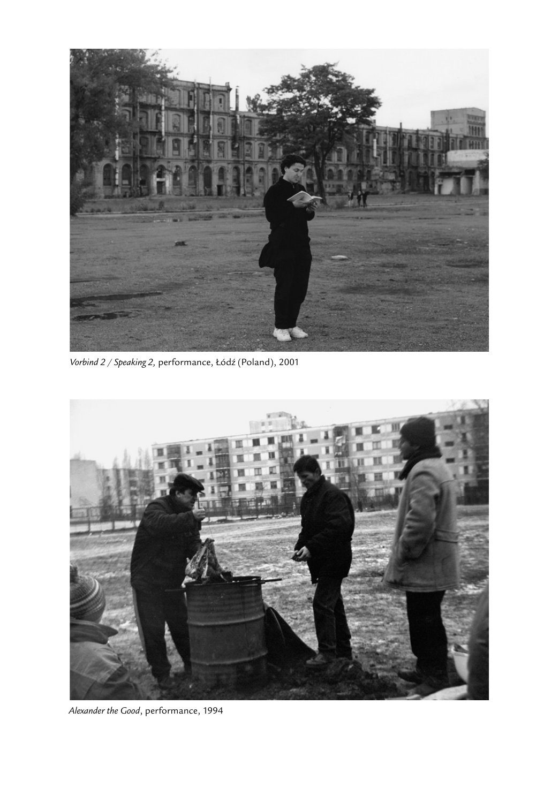

Vorbind 2 / Speaking 2, performance, Łódź (Poland), 2001



*Alexander the Good*, performance, 1994